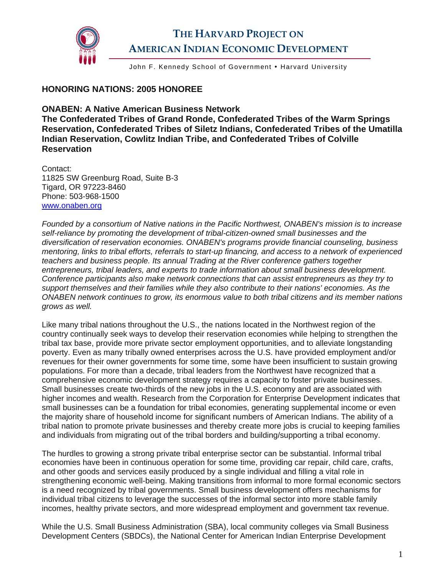

John F. Kennedy School of Government • Harvard University

## **HONORING NATIONS: 2005 HONOREE**

## **ONABEN: A Native American Business Network**

**The Confederated Tribes of Grand Ronde, Confederated Tribes of the Warm Springs Reservation, Confederated Tribes of Siletz Indians, Confederated Tribes of the Umatilla Indian Reservation, Cowlitz Indian Tribe, and Confederated Tribes of Colville Reservation** 

Contact: 11825 SW Greenburg Road, Suite B-3 Tigard, OR 97223-8460 Phone: 503-968-1500 [www.onaben.org](http://www.onaben.org/)

*Founded by a consortium of Native nations in the Pacific Northwest, ONABEN's mission is to increase self-reliance by promoting the development of tribal-citizen-owned small businesses and the diversification of reservation economies. ONABEN's programs provide financial counseling, business mentoring, links to tribal efforts, referrals to start-up financing, and access to a network of experienced teachers and business people. Its annual Trading at the River conference gathers together entrepreneurs, tribal leaders, and experts to trade information about small business development. Conference participants also make network connections that can assist entrepreneurs as they try to support themselves and their families while they also contribute to their nations' economies. As the ONABEN network continues to grow, its enormous value to both tribal citizens and its member nations grows as well.* 

Like many tribal nations throughout the U.S., the nations located in the Northwest region of the country continually seek ways to develop their reservation economies while helping to strengthen the tribal tax base, provide more private sector employment opportunities, and to alleviate longstanding poverty. Even as many tribally owned enterprises across the U.S. have provided employment and/or revenues for their owner governments for some time, some have been insufficient to sustain growing populations. For more than a decade, tribal leaders from the Northwest have recognized that a comprehensive economic development strategy requires a capacity to foster private businesses. Small businesses create two-thirds of the new jobs in the U.S. economy and are associated with higher incomes and wealth. Research from the Corporation for Enterprise Development indicates that small businesses can be a foundation for tribal economies, generating supplemental income or even the majority share of household income for significant numbers of American Indians. The ability of a tribal nation to promote private businesses and thereby create more jobs is crucial to keeping families and individuals from migrating out of the tribal borders and building/supporting a tribal economy.

The hurdles to growing a strong private tribal enterprise sector can be substantial. Informal tribal economies have been in continuous operation for some time, providing car repair, child care, crafts, and other goods and services easily produced by a single individual and filling a vital role in strengthening economic well-being. Making transitions from informal to more formal economic sectors is a need recognized by tribal governments. Small business development offers mechanisms for individual tribal citizens to leverage the successes of the informal sector into more stable family incomes, healthy private sectors, and more widespread employment and government tax revenue.

While the U.S. Small Business Administration (SBA), local community colleges via Small Business Development Centers (SBDCs), the National Center for American Indian Enterprise Development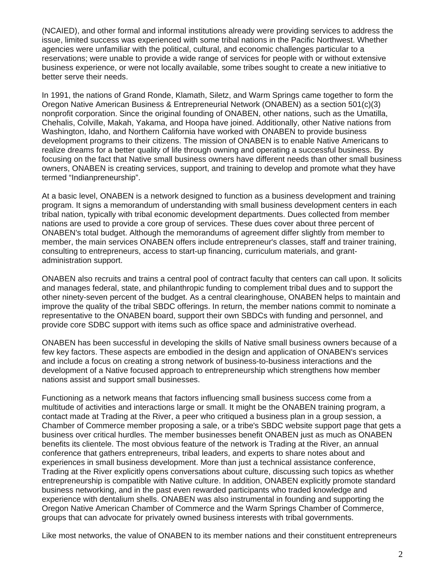(NCAIED), and other formal and informal institutions already were providing services to address the issue, limited success was experienced with some tribal nations in the Pacific Northwest. Whether agencies were unfamiliar with the political, cultural, and economic challenges particular to a reservations; were unable to provide a wide range of services for people with or without extensive business experience, or were not locally available, some tribes sought to create a new initiative to better serve their needs.

In 1991, the nations of Grand Ronde, Klamath, Siletz, and Warm Springs came together to form the Oregon Native American Business & Entrepreneurial Network (ONABEN) as a section 501(c)(3) nonprofit corporation. Since the original founding of ONABEN, other nations, such as the Umatilla, Chehalis, Colville, Makah, Yakama, and Hoopa have joined. Additionally, other Native nations from Washington, Idaho, and Northern California have worked with ONABEN to provide business development programs to their citizens. The mission of ONABEN is to enable Native Americans to realize dreams for a better quality of life through owning and operating a successful business. By focusing on the fact that Native small business owners have different needs than other small business owners, ONABEN is creating services, support, and training to develop and promote what they have termed "Indianpreneurship".

At a basic level, ONABEN is a network designed to function as a business development and training program. It signs a memorandum of understanding with small business development centers in each tribal nation, typically with tribal economic development departments. Dues collected from member nations are used to provide a core group of services. These dues cover about three percent of ONABEN's total budget. Although the memorandums of agreement differ slightly from member to member, the main services ONABEN offers include entrepreneur's classes, staff and trainer training, consulting to entrepreneurs, access to start-up financing, curriculum materials, and grantadministration support.

ONABEN also recruits and trains a central pool of contract faculty that centers can call upon. It solicits and manages federal, state, and philanthropic funding to complement tribal dues and to support the other ninety-seven percent of the budget. As a central clearinghouse, ONABEN helps to maintain and improve the quality of the tribal SBDC offerings. In return, the member nations commit to nominate a representative to the ONABEN board, support their own SBDCs with funding and personnel, and provide core SDBC support with items such as office space and administrative overhead.

ONABEN has been successful in developing the skills of Native small business owners because of a few key factors. These aspects are embodied in the design and application of ONABEN's services and include a focus on creating a strong network of business-to-business interactions and the development of a Native focused approach to entrepreneurship which strengthens how member nations assist and support small businesses.

Functioning as a network means that factors influencing small business success come from a multitude of activities and interactions large or small. It might be the ONABEN training program, a contact made at Trading at the River, a peer who critiqued a business plan in a group session, a Chamber of Commerce member proposing a sale, or a tribe's SBDC website support page that gets a business over critical hurdles. The member businesses benefit ONABEN just as much as ONABEN benefits its clientele. The most obvious feature of the network is Trading at the River, an annual conference that gathers entrepreneurs, tribal leaders, and experts to share notes about and experiences in small business development. More than just a technical assistance conference, Trading at the River explicitly opens conversations about culture, discussing such topics as whether entrepreneurship is compatible with Native culture. In addition, ONABEN explicitly promote standard business networking, and in the past even rewarded participants who traded knowledge and experience with dentalium shells. ONABEN was also instrumental in founding and supporting the Oregon Native American Chamber of Commerce and the Warm Springs Chamber of Commerce, groups that can advocate for privately owned business interests with tribal governments.

Like most networks, the value of ONABEN to its member nations and their constituent entrepreneurs